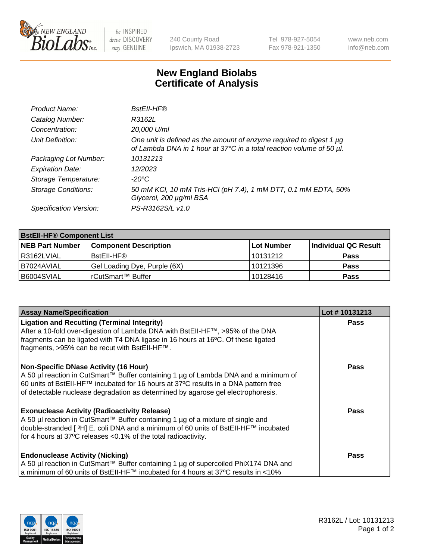

 $be$  INSPIRED drive DISCOVERY stay GENUINE

240 County Road Ipswich, MA 01938-2723 Tel 978-927-5054 Fax 978-921-1350 www.neb.com info@neb.com

## **New England Biolabs Certificate of Analysis**

| Product Name:              | BstEll-HF®                                                                                                                                  |
|----------------------------|---------------------------------------------------------------------------------------------------------------------------------------------|
| Catalog Number:            | R3162L                                                                                                                                      |
| Concentration:             | 20,000 U/ml                                                                                                                                 |
| Unit Definition:           | One unit is defined as the amount of enzyme required to digest 1 µg<br>of Lambda DNA in 1 hour at 37°C in a total reaction volume of 50 µl. |
| Packaging Lot Number:      | 10131213                                                                                                                                    |
| <b>Expiration Date:</b>    | 12/2023                                                                                                                                     |
| Storage Temperature:       | -20°C                                                                                                                                       |
| <b>Storage Conditions:</b> | 50 mM KCl, 10 mM Tris-HCl (pH 7.4), 1 mM DTT, 0.1 mM EDTA, 50%<br>Glycerol, 200 µg/ml BSA                                                   |
| Specification Version:     | PS-R3162S/L v1.0                                                                                                                            |

| <b>BstEll-HF® Component List</b> |                              |            |                      |  |  |
|----------------------------------|------------------------------|------------|----------------------|--|--|
| <b>NEB Part Number</b>           | <b>Component Description</b> | Lot Number | Individual QC Result |  |  |
| l R3162LVIAL                     | BstEII-HF®                   | 10131212   | <b>Pass</b>          |  |  |
| I B7024AVIAL                     | Gel Loading Dye, Purple (6X) | 10121396   | <b>Pass</b>          |  |  |
| B6004SVIAL                       | l rCutSmart™ Buffer          | 10128416   | <b>Pass</b>          |  |  |

| <b>Assay Name/Specification</b>                                                                                                                                                                                                                                | Lot #10131213 |
|----------------------------------------------------------------------------------------------------------------------------------------------------------------------------------------------------------------------------------------------------------------|---------------|
| <b>Ligation and Recutting (Terminal Integrity)</b><br>After a 10-fold over-digestion of Lambda DNA with BstEII-HF™, >95% of the DNA                                                                                                                            | <b>Pass</b>   |
| fragments can be ligated with T4 DNA ligase in 16 hours at 16°C. Of these ligated<br>fragments, >95% can be recut with BstEII-HF™.                                                                                                                             |               |
| <b>Non-Specific DNase Activity (16 Hour)</b>                                                                                                                                                                                                                   | <b>Pass</b>   |
| A 50 µl reaction in CutSmart™ Buffer containing 1 µg of Lambda DNA and a minimum of<br>60 units of BstEll-HF™ incubated for 16 hours at 37°C results in a DNA pattern free<br>of detectable nuclease degradation as determined by agarose gel electrophoresis. |               |
| <b>Exonuclease Activity (Radioactivity Release)</b>                                                                                                                                                                                                            | Pass          |
| A 50 µl reaction in CutSmart™ Buffer containing 1 µg of a mixture of single and<br> double-stranded [ 3H] E. coli DNA and a minimum of 60 units of BstEII-HF™ incubated                                                                                        |               |
| for 4 hours at 37°C releases <0.1% of the total radioactivity.                                                                                                                                                                                                 |               |
| <b>Endonuclease Activity (Nicking)</b>                                                                                                                                                                                                                         | Pass          |
| A 50 µl reaction in CutSmart™ Buffer containing 1 µg of supercoiled PhiX174 DNA and                                                                                                                                                                            |               |
| a minimum of 60 units of BstEII-HF™ incubated for 4 hours at 37°C results in <10%                                                                                                                                                                              |               |